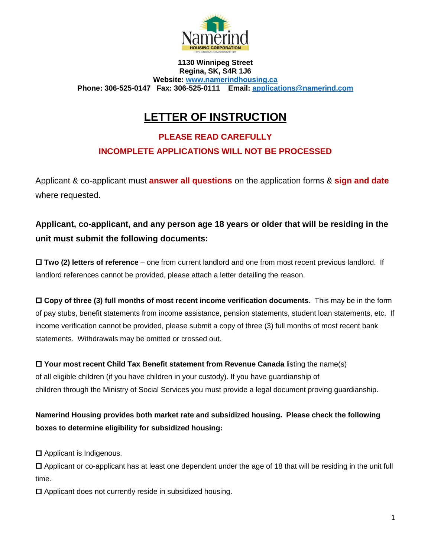

**1130 Winnipeg Street Regina, SK, S4R 1J6 Website: [www.namerindhousing.ca](http://www.namerindhousing.ca/) Phone: 306-525-0147 Fax: 306-525-0111 Email: [applications@namerind.com](mailto:applications@namerind.com)**

## **LETTER OF INSTRUCTION**

### **PLEASE READ CAREFULLY INCOMPLETE APPLICATIONS WILL NOT BE PROCESSED**

Applicant & co-applicant must **answer all questions** on the application forms & **sign and date** where requested.

#### **Applicant, co-applicant, and any person age 18 years or older that will be residing in the unit must submit the following documents:**

 **Two (2) letters of reference** – one from current landlord and one from most recent previous landlord. If landlord references cannot be provided, please attach a letter detailing the reason.

 **Copy of three (3) full months of most recent income verification documents**. This may be in the form of pay stubs, benefit statements from income assistance, pension statements, student loan statements, etc. If income verification cannot be provided, please submit a copy of three (3) full months of most recent bank statements. Withdrawals may be omitted or crossed out.

 **Your most recent Child Tax Benefit statement from Revenue Canada** listing the name(s) of all eligible children (if you have children in your custody). If you have guardianship of children through the Ministry of Social Services you must provide a legal document proving guardianship.

**Namerind Housing provides both market rate and subsidized housing. Please check the following boxes to determine eligibility for subsidized housing:** 

□ Applicant is Indigenous.

 Applicant or co-applicant has at least one dependent under the age of 18 that will be residing in the unit full time.

 $\Box$  Applicant does not currently reside in subsidized housing.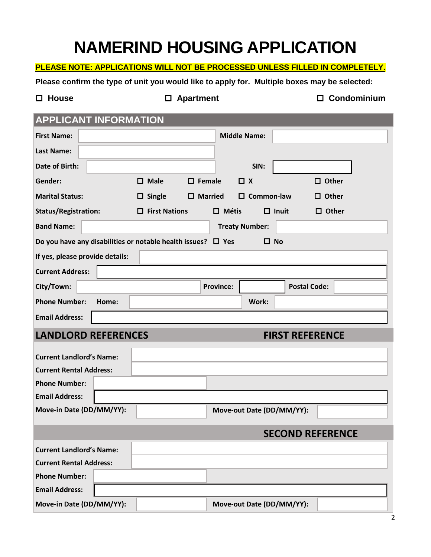# **NAMERIND HOUSING APPLICATION**

#### **PLEASE NOTE: APPLICATIONS WILL NOT BE PROCESSED UNLESS FILLED IN COMPLETELY.**

**Please confirm the type of unit you would like to apply for. Multiple boxes may be selected:** 

 **House Apartment Condominium** 

#### **APPLICANT INFORMATION**

| <b>First Name:</b>              | <b>Middle Name:</b>                                                               |                  |                           |                        |  |  |
|---------------------------------|-----------------------------------------------------------------------------------|------------------|---------------------------|------------------------|--|--|
| <b>Last Name:</b>               |                                                                                   |                  |                           |                        |  |  |
| Date of Birth:                  |                                                                                   |                  | SIN:                      |                        |  |  |
| Gender:                         | $\Box$ Male                                                                       | $\square$ Female | $\Box$ x                  | $\Box$ Other           |  |  |
| <b>Marital Status:</b>          | $\Box$ Single                                                                     | $\Box$ Married   | $\square$ Common-law      | $\Box$ Other           |  |  |
| <b>Status/Registration:</b>     | $\Box$ First Nations                                                              | $\Box$ Métis     | $\Box$ Inuit              | $\Box$ Other           |  |  |
| <b>Band Name:</b>               |                                                                                   |                  | <b>Treaty Number:</b>     |                        |  |  |
|                                 | Do you have any disabilities or notable health issues? $\Box$ Yes<br>$\square$ No |                  |                           |                        |  |  |
| If yes, please provide details: |                                                                                   |                  |                           |                        |  |  |
| <b>Current Address:</b>         |                                                                                   |                  |                           |                        |  |  |
| City/Town:                      |                                                                                   | <b>Province:</b> |                           | <b>Postal Code:</b>    |  |  |
| <b>Phone Number:</b>            | Home:                                                                             |                  | Work:                     |                        |  |  |
| <b>Email Address:</b>           |                                                                                   |                  |                           |                        |  |  |
| <b>LANDLORD REFERENCES</b>      |                                                                                   |                  |                           | <b>FIRST REFERENCE</b> |  |  |
| <b>Current Landlord's Name:</b> |                                                                                   |                  |                           |                        |  |  |
| <b>Current Rental Address:</b>  |                                                                                   |                  |                           |                        |  |  |
| <b>Phone Number:</b>            |                                                                                   |                  |                           |                        |  |  |
| <b>Email Address:</b>           |                                                                                   |                  |                           |                        |  |  |
| Move-in Date (DD/MM/YY):        |                                                                                   |                  | Move-out Date (DD/MM/YY): |                        |  |  |
| <b>SECOND REFERENCE</b>         |                                                                                   |                  |                           |                        |  |  |
| <b>Current Landlord's Name:</b> |                                                                                   |                  |                           |                        |  |  |
| <b>Current Rental Address:</b>  |                                                                                   |                  |                           |                        |  |  |
| <b>Phone Number:</b>            |                                                                                   |                  |                           |                        |  |  |
| <b>Email Address:</b>           |                                                                                   |                  |                           |                        |  |  |
|                                 |                                                                                   |                  |                           |                        |  |  |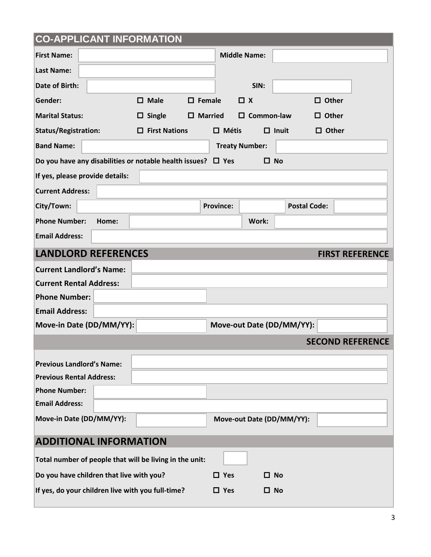| <b>CO-APPLICANT INFORMATION</b>                                                               |                      |                          |                           |                           |                         |
|-----------------------------------------------------------------------------------------------|----------------------|--------------------------|---------------------------|---------------------------|-------------------------|
| <b>First Name:</b>                                                                            | <b>Middle Name:</b>  |                          |                           |                           |                         |
| <b>Last Name:</b>                                                                             |                      |                          |                           |                           |                         |
| Date of Birth:                                                                                |                      |                          | SIN:                      |                           |                         |
| Gender:                                                                                       | $\square$ Male       | $\Box$ Female            | $\Box$ x                  |                           | $\Box$ Other            |
| <b>Marital Status:</b>                                                                        | $\Box$ Single        | $\square$ Married        | $\square$ Common-law      |                           | $\Box$ Other            |
| <b>Status/Registration:</b>                                                                   | $\Box$ First Nations | $\Box$ Métis             |                           | $\Box$ Inuit              | $\Box$ Other            |
| <b>Band Name:</b>                                                                             |                      |                          | <b>Treaty Number:</b>     |                           |                         |
| Do you have any disabilities or notable health issues? $\Box$ Yes                             |                      |                          | $\square$ No              |                           |                         |
| If yes, please provide details:                                                               |                      |                          |                           |                           |                         |
| <b>Current Address:</b>                                                                       |                      |                          |                           |                           |                         |
| City/Town:                                                                                    |                      | <b>Province:</b>         |                           | <b>Postal Code:</b>       |                         |
| <b>Phone Number:</b><br>Home:                                                                 |                      |                          | Work:                     |                           |                         |
| <b>Email Address:</b>                                                                         |                      |                          |                           |                           |                         |
| <b>LANDLORD REFERENCES</b>                                                                    |                      |                          |                           |                           | <b>FIRST REFERENCE</b>  |
| <b>Current Landlord's Name:</b>                                                               |                      |                          |                           |                           |                         |
|                                                                                               |                      |                          |                           |                           |                         |
| <b>Current Rental Address:</b>                                                                |                      |                          |                           |                           |                         |
| <b>Phone Number:</b>                                                                          |                      |                          |                           |                           |                         |
| <b>Email Address:</b>                                                                         |                      |                          |                           |                           |                         |
| Move-in Date (DD/MM/YY):                                                                      |                      |                          |                           | Move-out Date (DD/MM/YY): |                         |
|                                                                                               |                      |                          |                           |                           | <b>SECOND REFERENCE</b> |
| <b>Previous Landlord's Name:</b>                                                              |                      |                          |                           |                           |                         |
| <b>Previous Rental Address:</b>                                                               |                      |                          |                           |                           |                         |
| <b>Phone Number:</b>                                                                          |                      |                          |                           |                           |                         |
| <b>Email Address:</b>                                                                         |                      |                          |                           |                           |                         |
| Move-in Date (DD/MM/YY):                                                                      |                      |                          | Move-out Date (DD/MM/YY): |                           |                         |
| <b>ADDITIONAL INFORMATION</b>                                                                 |                      |                          |                           |                           |                         |
|                                                                                               |                      |                          |                           |                           |                         |
| Total number of people that will be living in the unit:                                       |                      |                          |                           |                           |                         |
| Do you have children that live with you?<br>If yes, do your children live with you full-time? |                      | $\Box$ Yes<br>$\Box$ Yes | $\Box$ No<br>$\square$ No |                           |                         |